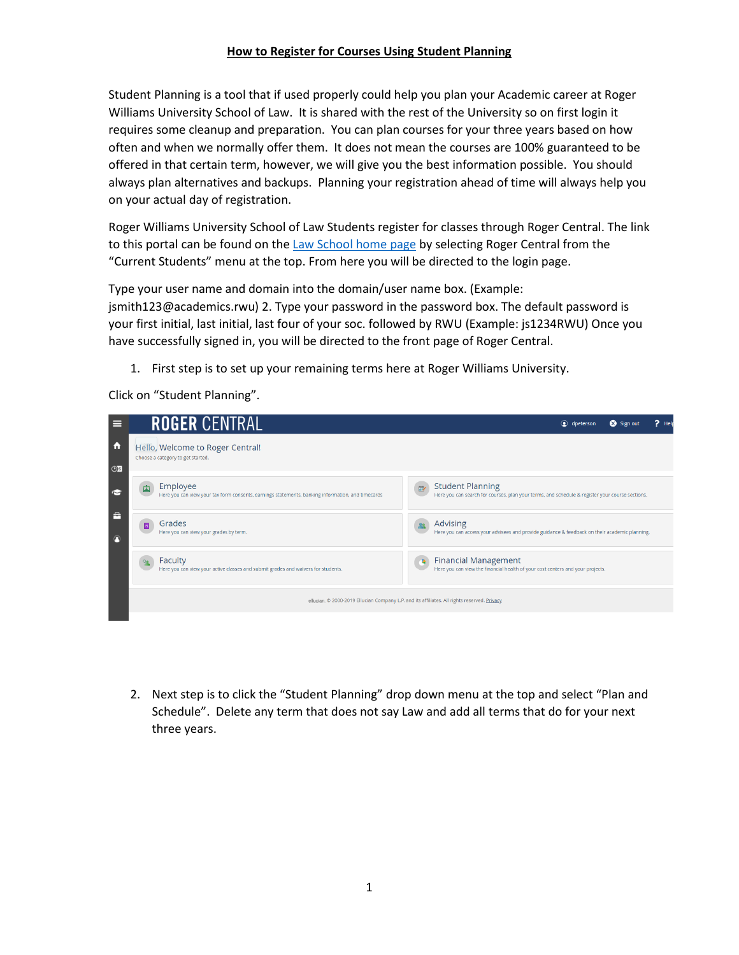## **How to Register for Courses Using Student Planning**

Student Planning is a tool that if used properly could help you plan your Academic career at Roger Williams University School of Law. It is shared with the rest of the University so on first login it requires some cleanup and preparation. You can plan courses for your three years based on how often and when we normally offer them. It does not mean the courses are 100% guaranteed to be offered in that certain term, however, we will give you the best information possible. You should always plan alternatives and backups. Planning your registration ahead of time will always help you on your actual day of registration.

Roger Williams University School of Law Students register for classes through Roger Central. The link to this portal can be found on th[e Law School home page](http://law.rwu.edu/) by selecting Roger Central from the "Current Students" menu at the top. From here you will be directed to the login page.

Type your user name and domain into the domain/user name box. (Example: jsmith123@academics.rwu) 2. Type your password in the password box. The default password is your first initial, last initial, last four of your soc. followed by RWU (Example: js1234RWU) Once you have successfully signed in, you will be directed to the front page of Roger Central.

1. First step is to set up your remaining terms here at Roger Williams University.

Click on "Student Planning".

| ⋿                    | <b>ROGER CENTRAL</b>                                                                                               | $P$ Hel<br>Sign out<br>o dpeterson                                                                                                           |
|----------------------|--------------------------------------------------------------------------------------------------------------------|----------------------------------------------------------------------------------------------------------------------------------------------|
| $\ddot{\phantom{1}}$ | Hello, Welcome to Roger Central!<br>Choose a category to get started.                                              |                                                                                                                                              |
| OS                   |                                                                                                                    |                                                                                                                                              |
|                      | Employee<br>酉<br>Here you can view your tax form consents, earnings statements, banking information, and timecards | <b>Student Planning</b><br>$\blacksquare$<br>Here you can search for courses, plan your terms, and schedule & register your course sections. |
| F<br>$\bigcap$       | Grades<br>Here you can view your grades by term.                                                                   | Advising<br>Here you can access your advisees and provide guidance & feedback on their academic planning.                                    |
|                      | Faculty<br>Here you can view your active classes and submit grades and waivers for students.                       | <b>Financial Management</b><br>ъ<br>Here you can view the financial health of your cost centers and your projects.                           |
|                      |                                                                                                                    | ellucian. © 2000-2019 Ellucian Company L.P. and its affiliates. All rights reserved. Privacy                                                 |

2. Next step is to click the "Student Planning" drop down menu at the top and select "Plan and Schedule". Delete any term that does not say Law and add all terms that do for your next three years.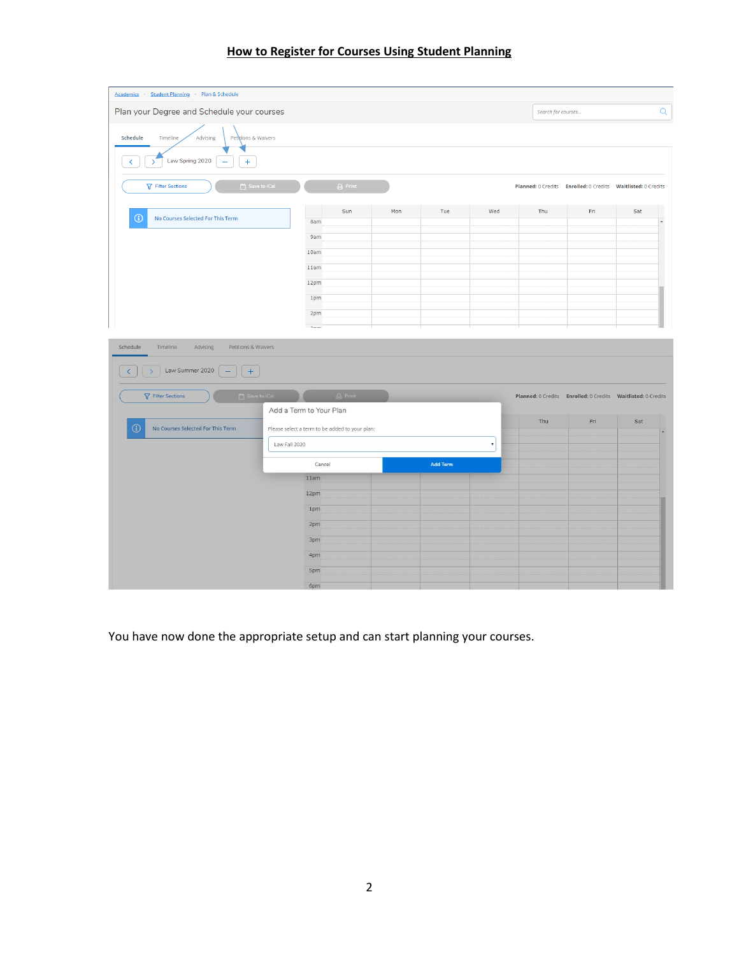| Academics Student Planning Plan & Schedule                                                                                                                    |                |                   |     |     |     |                    |                                                              |     |          |
|---------------------------------------------------------------------------------------------------------------------------------------------------------------|----------------|-------------------|-----|-----|-----|--------------------|--------------------------------------------------------------|-----|----------|
| Plan your Degree and Schedule your courses                                                                                                                    |                |                   |     |     |     | Search for courses |                                                              |     | $\alpha$ |
| Schedule<br>Timeline<br>Pettions & Waivers<br>Advising<br>Law Spring 2020<br>$+$<br>V<br>$\overline{\phantom{0}}$<br>Save to iCal<br><b>了 Filter Sections</b> |                | $\bigoplus$ Print |     |     |     |                    | Planned: 0 Credits Enrolled: 0 Credits Waitlisted: 0 Credits |     |          |
| G<br>No Courses Selected For This Term                                                                                                                        | 8am            | Sun               | Mon | Tue | Wed | Thu                | Fri                                                          | Sat | $\Delta$ |
|                                                                                                                                                               | <b>9am</b>     |                   |     |     |     |                    |                                                              |     |          |
|                                                                                                                                                               | 10am           |                   |     |     |     |                    |                                                              |     |          |
|                                                                                                                                                               | 11am           |                   |     |     |     |                    |                                                              |     |          |
|                                                                                                                                                               | 12pm           |                   |     |     |     |                    |                                                              |     |          |
|                                                                                                                                                               | 1pm            |                   |     |     |     |                    |                                                              |     |          |
|                                                                                                                                                               | 2pm            |                   |     |     |     |                    |                                                              |     |          |
|                                                                                                                                                               | <b>Distant</b> |                   |     |     |     |                    |                                                              |     |          |
| Schedule<br>Timeline<br>Advising<br>Petitions & Waivers                                                                                                       |                |                   |     |     |     |                    |                                                              |     |          |
| Law Summer 2020<br>$+$<br>ь<br>$\rightarrow$                                                                                                                  |                |                   |     |     |     |                    |                                                              |     |          |

 $\overline{\mathsf{Q}}$ 

## **How to Register for Courses Using Student Planning**

| <b>T</b> Filter Sections                     | $\overline{a}$ Save to iCal<br><b>B</b> Print  |                 | Planned: 0 Credits Enrolled: 0 Credits Waitlisted: 0 Credits |     |     |
|----------------------------------------------|------------------------------------------------|-----------------|--------------------------------------------------------------|-----|-----|
|                                              | Add a Term to Your Plan                        |                 | Thu                                                          | Fri | Sat |
| $\odot$<br>No Courses Selected For This Term | Please select a term to be added to your plan: |                 |                                                              |     |     |
|                                              | Law Fall 2020                                  |                 |                                                              |     |     |
|                                              | Cancel                                         | <b>Add Term</b> |                                                              |     |     |
|                                              | 11am                                           |                 |                                                              |     |     |
|                                              | 12pm                                           |                 |                                                              |     |     |
|                                              | 1pm                                            |                 |                                                              |     |     |
|                                              | 2 <sub>pm</sub>                                |                 |                                                              |     |     |
|                                              | 3pm                                            |                 |                                                              |     |     |
|                                              | 4pm                                            |                 |                                                              |     |     |
|                                              | <b>Spm</b>                                     |                 |                                                              |     |     |
|                                              | 6pm                                            |                 |                                                              |     |     |

You have now done the appropriate setup and can start planning your courses.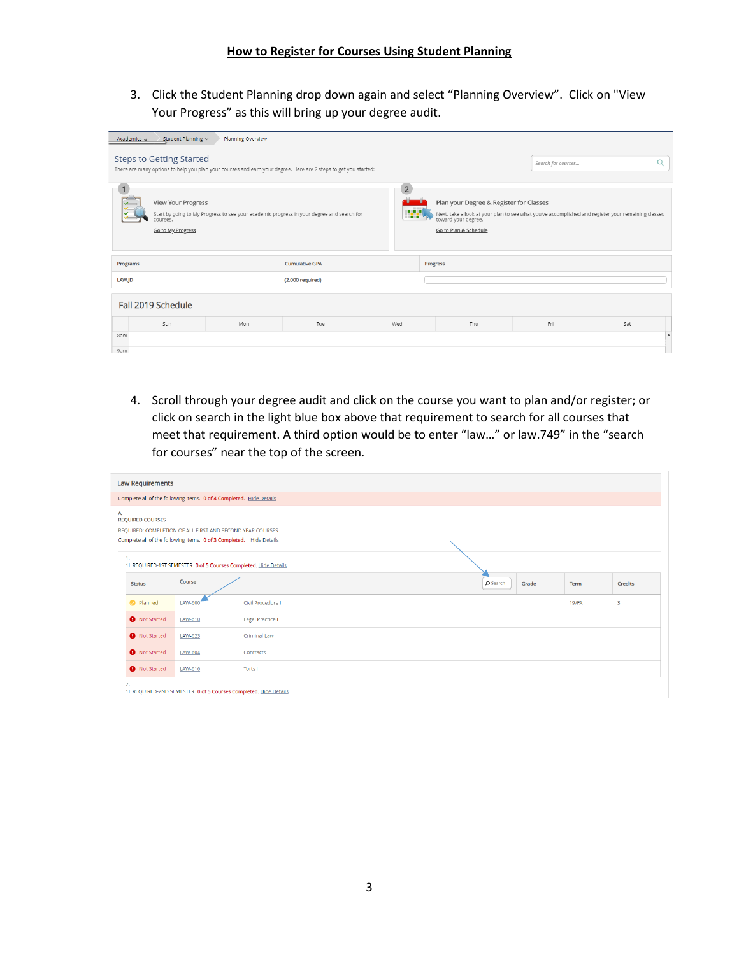3. Click the Student Planning drop down again and select "Planning Overview". Click on "View Your Progress" as this will bring up your degree audit.

| Academics $\rightarrow$                                                                                                                                                                                                                                                                                                                                | Student Planning ~<br>Planning Overview                                                                                                                                  |     |                       |     |          |     |     |     |  |  |
|--------------------------------------------------------------------------------------------------------------------------------------------------------------------------------------------------------------------------------------------------------------------------------------------------------------------------------------------------------|--------------------------------------------------------------------------------------------------------------------------------------------------------------------------|-----|-----------------------|-----|----------|-----|-----|-----|--|--|
|                                                                                                                                                                                                                                                                                                                                                        | <b>Steps to Getting Started</b><br>Search for courses<br>There are many options to help you plan your courses and earn your degree. Here are 2 steps to get you started: |     |                       |     |          |     |     |     |  |  |
| View Your Progress<br>Plan your Degree & Register for Classes<br>w<br>Start by going to My Progress to see your academic progress in your degree and search for<br>Next, take a look at your plan to see what you've accomplished and register your remaining classes<br>toward your degree.<br>courses.<br>Go to Plan & Schedule<br>Go to My Progress |                                                                                                                                                                          |     |                       |     |          |     |     |     |  |  |
| Programs                                                                                                                                                                                                                                                                                                                                               |                                                                                                                                                                          |     | <b>Cumulative GPA</b> |     | Progress |     |     |     |  |  |
| LAW.ID                                                                                                                                                                                                                                                                                                                                                 |                                                                                                                                                                          |     | (2.000 required)      |     |          |     |     |     |  |  |
|                                                                                                                                                                                                                                                                                                                                                        | Fall 2019 Schedule                                                                                                                                                       |     |                       |     |          |     |     |     |  |  |
|                                                                                                                                                                                                                                                                                                                                                        | Sun                                                                                                                                                                      | Mon | Tue                   | Wed |          | Thu | Fri | Sat |  |  |
| 8am                                                                                                                                                                                                                                                                                                                                                    |                                                                                                                                                                          |     |                       |     |          |     |     |     |  |  |
| 9am                                                                                                                                                                                                                                                                                                                                                    |                                                                                                                                                                          |     |                       |     |          |     |     |     |  |  |

4. Scroll through your degree audit and click on the course you want to plan and/or register; or click on search in the light blue box above that requirement to search for all courses that meet that requirement. A third option would be to enter "law…" or law.749" in the "search for courses" near the top of the screen.

| <b>Law Requirements</b>                                                                                                                                           |                                       |                                                                 |  |  |          |       |          |         |  |  |
|-------------------------------------------------------------------------------------------------------------------------------------------------------------------|---------------------------------------|-----------------------------------------------------------------|--|--|----------|-------|----------|---------|--|--|
| Complete all of the following items. 0 of 4 Completed. Hide Details                                                                                               |                                       |                                                                 |  |  |          |       |          |         |  |  |
| A.<br><b>REQUIRED COURSES</b><br>REQUIRED: COMPLETION OF ALL FIRST AND SECOND YEAR COURSES<br>Complete all of the following items. 0 of 3 Completed. Hide Details |                                       |                                                                 |  |  |          |       |          |         |  |  |
| 1.                                                                                                                                                                |                                       | 1L REQUIRED-1ST SEMESTER 0 of 5 Courses Completed. Hide Details |  |  |          |       |          |         |  |  |
| <b>Status</b>                                                                                                                                                     | Course                                |                                                                 |  |  | O Search | Grade | Term     | Credits |  |  |
| <b>O</b> Planned                                                                                                                                                  | LAW-600                               | Civil Procedure I                                               |  |  |          |       | $19$ /FA | 3       |  |  |
| <b>O</b> Not Started                                                                                                                                              | LAW-610                               | <b>Legal Practice I</b>                                         |  |  |          |       |          |         |  |  |
| <b>O</b> Not Started                                                                                                                                              | <b>Criminal Law</b><br><b>LAW-623</b> |                                                                 |  |  |          |       |          |         |  |  |
| <b>O</b> Not Started                                                                                                                                              | LAW-604<br>Contracts I                |                                                                 |  |  |          |       |          |         |  |  |
| <b>O</b> Not Started                                                                                                                                              | LAW-616                               | Torts I                                                         |  |  |          |       |          |         |  |  |
| 2.                                                                                                                                                                |                                       |                                                                 |  |  |          |       |          |         |  |  |

1L REQUIRED-2ND SEMESTER 0 of 5 Courses Completed. Hide Details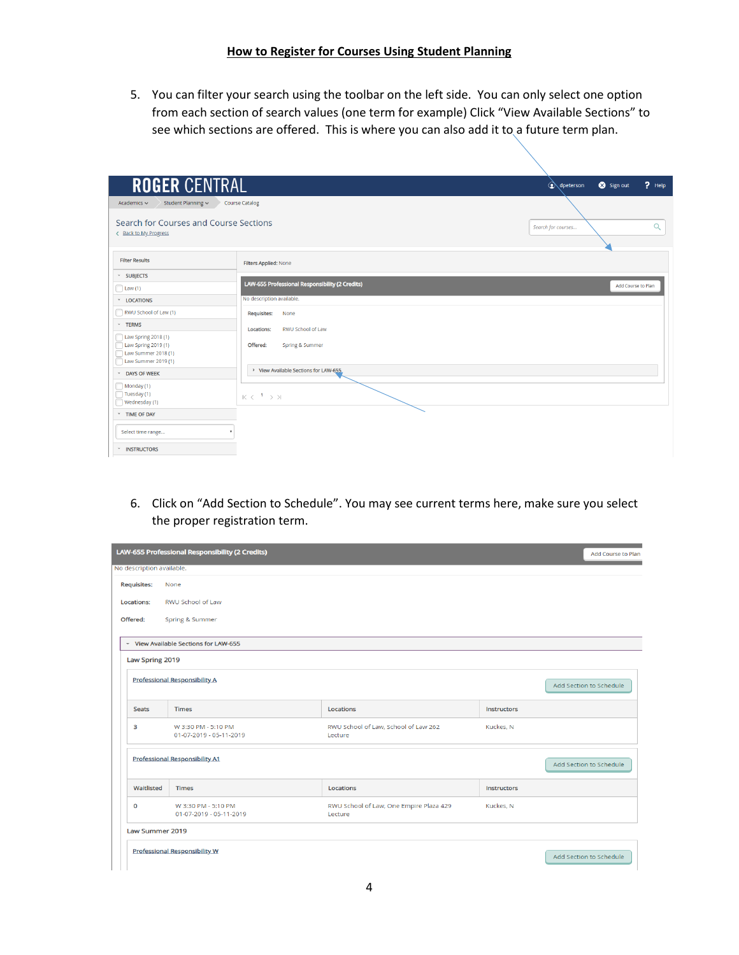## **How to Register for Courses Using Student Planning**

5. You can filter your search using the toolbar on the left side. You can only select one option from each section of search values (one term for example) Click "View Available Sections" to see which sections are offered. This is where you can also add it to a future term plan.

| <b>ROGER CENTRAL</b>                                                                     |                                                 | $P$ Help<br>Sign out<br>on dpeterson |
|------------------------------------------------------------------------------------------|-------------------------------------------------|--------------------------------------|
| Academics $\sim$<br>Student Planning v                                                   | <b>Course Catalog</b>                           |                                      |
| Search for Courses and Course Sections<br>< Back to My Progress                          |                                                 | $\alpha$<br>Search for courses       |
| <b>Filter Results</b>                                                                    | Filters Applied: None                           |                                      |
| <b>v</b> SUBJECTS                                                                        |                                                 |                                      |
| $\Box$ Law (1)                                                                           | LAW-655 Professional Responsibility (2 Credits) | Add Course to Plan                   |
| * LOCATIONS                                                                              | No description available.                       |                                      |
| RWU School of Law (1)                                                                    | <b>Requisites:</b><br>None                      |                                      |
| * TERMS                                                                                  | RWU School of Law<br><b>Locations:</b>          |                                      |
| Law Spring 2018 (1)<br>Law Spring 2019 (1)<br>Law Summer 2018 (1)<br>Law Summer 2019 (1) | Offered:<br>Spring & Summer                     |                                      |
| <b>DAYS OF WEEK</b>                                                                      | > View Available Sections for LAW-655           |                                      |
| Monday (1)<br>Tuesday (1)<br>Wednesday (1)                                               | $K < 1$ $>$ $\times$                            |                                      |
| TIME OF DAY                                                                              |                                                 |                                      |
| Select time range                                                                        |                                                 |                                      |
| <b>INSTRUCTORS</b>                                                                       |                                                 |                                      |

6. Click on "Add Section to Schedule". You may see current terms here, make sure you select the proper registration term.

| No description available.                                       | LAW-655 Professional Responsibility (2 Credits) |                                                    |                    | Add Course to Plan      |  |  |  |  |  |
|-----------------------------------------------------------------|-------------------------------------------------|----------------------------------------------------|--------------------|-------------------------|--|--|--|--|--|
| <b>Requisites:</b>                                              | None                                            |                                                    |                    |                         |  |  |  |  |  |
| Locations:                                                      | RWU School of Law                               |                                                    |                    |                         |  |  |  |  |  |
| Offered:                                                        | Spring & Summer                                 |                                                    |                    |                         |  |  |  |  |  |
|                                                                 | v View Available Sections for LAW-655           |                                                    |                    |                         |  |  |  |  |  |
| Law Spring 2019                                                 |                                                 |                                                    |                    |                         |  |  |  |  |  |
|                                                                 | <b>Professional Responsibility A</b>            |                                                    |                    | Add Section to Schedule |  |  |  |  |  |
| <b>Seats</b>                                                    | <b>Times</b>                                    | Locations                                          | <b>Instructors</b> |                         |  |  |  |  |  |
| 3                                                               | W 3:30 PM - 5:10 PM<br>01-07-2019 - 05-11-2019  | RWU School of Law, School of Law 262<br>Lecture    | Kuckes, N          |                         |  |  |  |  |  |
|                                                                 | <b>Professional Responsibility A1</b>           |                                                    |                    | Add Section to Schedule |  |  |  |  |  |
| Waitlisted                                                      | <b>Times</b>                                    | Locations                                          | <b>Instructors</b> |                         |  |  |  |  |  |
| $\mathbf 0$                                                     | W 3:30 PM - 5:10 PM<br>01-07-2019 - 05-11-2019  | RWU School of Law, One Empire Plaza 429<br>Lecture | Kuckes, N          |                         |  |  |  |  |  |
| <b>Law Summer 2019</b>                                          |                                                 |                                                    |                    |                         |  |  |  |  |  |
| <b>Professional Responsibility W</b><br>Add Section to Schedule |                                                 |                                                    |                    |                         |  |  |  |  |  |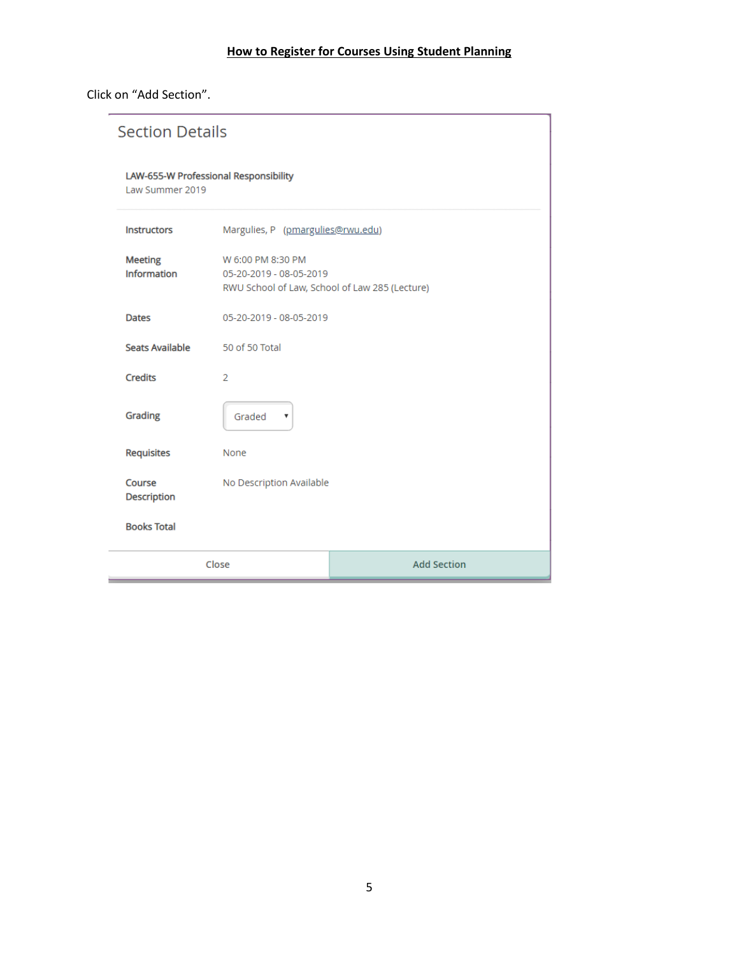Click on "Add Section".

| <b>Section Details</b>                                   |                                                                                                |                         |  |  |  |  |  |
|----------------------------------------------------------|------------------------------------------------------------------------------------------------|-------------------------|--|--|--|--|--|
| LAW-655-W Professional Responsibility<br>Law Summer 2019 |                                                                                                |                         |  |  |  |  |  |
| <b>Instructors</b>                                       | Margulies, P (pmargulies@rwu.edu)                                                              |                         |  |  |  |  |  |
| <b>Meeting</b><br><b>Information</b>                     | W 6:00 PM 8:30 PM<br>05-20-2019 - 08-05-2019<br>RWU School of Law, School of Law 285 (Lecture) |                         |  |  |  |  |  |
| <b>Dates</b>                                             |                                                                                                | 05-20-2019 - 08-05-2019 |  |  |  |  |  |
| <b>Seats Available</b>                                   | 50 of 50 Total                                                                                 |                         |  |  |  |  |  |
| <b>Credits</b>                                           | 2                                                                                              |                         |  |  |  |  |  |
| Grading                                                  | Graded<br>$\boldsymbol{\mathrm{v}}$                                                            |                         |  |  |  |  |  |
| <b>Requisites</b>                                        | None                                                                                           |                         |  |  |  |  |  |
| Course<br>Description                                    | No Description Available                                                                       |                         |  |  |  |  |  |
| <b>Books Total</b>                                       |                                                                                                |                         |  |  |  |  |  |
|                                                          | Close                                                                                          | <b>Add Section</b>      |  |  |  |  |  |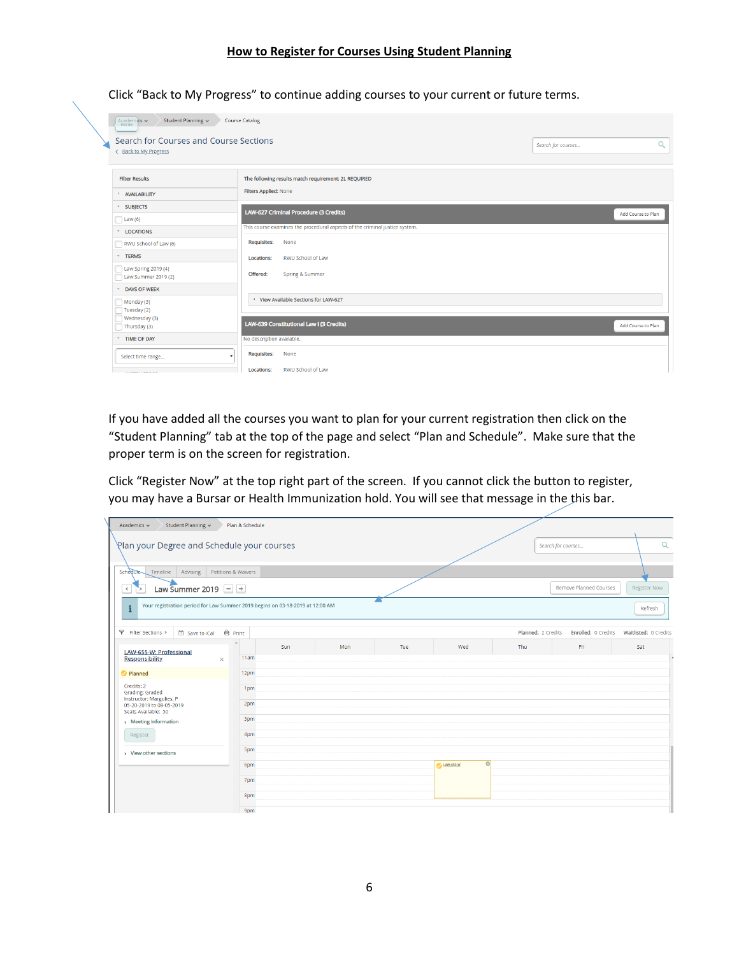Click "Back to My Progress" to continue adding courses to your current or future terms.

| Academics $\vee$<br>Student Planning ~<br>Home<br>Search for Courses and Course Sections<br>< Back to My Progress | <b>Course Catalog</b>                                                       | Search for courses | Q                  |
|-------------------------------------------------------------------------------------------------------------------|-----------------------------------------------------------------------------|--------------------|--------------------|
| <b>Filter Results</b>                                                                                             | The following results match requirement: 2L REQUIRED                        |                    |                    |
| > AVAILABILITY                                                                                                    | Filters Applied: None                                                       |                    |                    |
| <b>v</b> SUBJECTS                                                                                                 | LAW-627 Criminal Procedure (3 Credits)                                      |                    | Add Course to Plan |
| $\Box$ Law (6)                                                                                                    |                                                                             |                    |                    |
| * LOCATIONS                                                                                                       | This course examines the procedural aspects of the criminal justice system. |                    |                    |
| RWU School of Law (6)                                                                                             | <b>Requisites:</b><br>None                                                  |                    |                    |
| ~ TERMS                                                                                                           | <b>RWU School of Law</b><br>Locations:                                      |                    |                    |
| Law Spring 2019 (4)<br>Law Summer 2019 (2)                                                                        | Offered:<br>Spring & Summer                                                 |                    |                    |
| DAYS OF WEEK                                                                                                      |                                                                             |                    |                    |
| $\Box$ Monday (3)<br>Tuesday (2)                                                                                  | > View Available Sections for LAW-627                                       |                    |                    |
| Wednesday (3)<br>Thursday $(3)$                                                                                   | LAW-639 Constitutional Law I (3 Credits)                                    |                    | Add Course to Plan |
| TIME OF DAY                                                                                                       | No description available.                                                   |                    |                    |
| Select time range                                                                                                 | <b>Requisites:</b><br>None                                                  |                    |                    |
|                                                                                                                   | RWU School of Law<br>Locations:                                             |                    |                    |

If you have added all the courses you want to plan for your current registration then click on the "Student Planning" tab at the top of the page and select "Plan and Schedule". Make sure that the proper term is on the screen for registration.

Click "Register Now" at the top right part of the screen. If you cannot click the button to register, you may have a Bursar or Health Immunization hold. You will see that message in the this bar.

| Student Planning v<br>Academics $\sim$                                                        |                          | Plan & Schedule     |     |     |     |                             |                    |                     |                       |
|-----------------------------------------------------------------------------------------------|--------------------------|---------------------|-----|-----|-----|-----------------------------|--------------------|---------------------|-----------------------|
| Plan your Degree and Schedule your courses                                                    |                          |                     |     |     |     |                             |                    | Search for courses  | $\alpha$              |
|                                                                                               |                          |                     |     |     |     |                             |                    |                     |                       |
| <b>Schedule</b><br>Advising<br>Timeline                                                       |                          | Petitions & Waivers |     |     |     |                             |                    |                     |                       |
| $\,$ $\,$<br>`>                                                                               | Law Summer 2019 $\Box$ + |                     |     |     |     |                             |                    |                     |                       |
| Your registration period for Law Summer 2019 begins on 03-18-2019 at 12:00 AM<br>$\mathbf{i}$ |                          |                     |     |     |     |                             |                    |                     | Refresh               |
| Filter Sections ><br>Save to iCal                                                             | <b>自</b> Print           |                     |     |     |     |                             | Planned: 2 Credits | Enrolled: 0 Credits | Waitlisted: 0 Credits |
| LAW-655-W: Professional                                                                       | à.                       |                     | Sun | Mon | Tue | Wed                         | Thu                | Fri                 | Sat                   |
| <b>Responsibility</b><br>$\times$                                                             |                          | 11am                |     |     |     |                             |                    |                     |                       |
| Planned                                                                                       |                          | 12pm                |     |     |     |                             |                    |                     |                       |
| Credits: 2<br>Grading: Graded                                                                 |                          | 1pm                 |     |     |     |                             |                    |                     |                       |
| Instructor: Margulies, P<br>05-20-2019 to 08-05-2019<br>Seats Available: 50                   |                          | 2pm                 |     |     |     |                             |                    |                     |                       |
| > Meeting Information                                                                         |                          | 3pm                 |     |     |     |                             |                    |                     |                       |
| Register                                                                                      |                          | 4pm                 |     |     |     |                             |                    |                     |                       |
| > View other sections                                                                         |                          | 5pm                 |     |     |     |                             |                    |                     |                       |
|                                                                                               |                          | 6pm                 |     |     |     | $\circ$<br><b>DAW-655-W</b> |                    |                     |                       |
|                                                                                               |                          | 7pm                 |     |     |     |                             |                    |                     |                       |
|                                                                                               |                          | 8pm                 |     |     |     |                             |                    |                     |                       |
|                                                                                               |                          | 9pm                 |     |     |     |                             |                    |                     |                       |